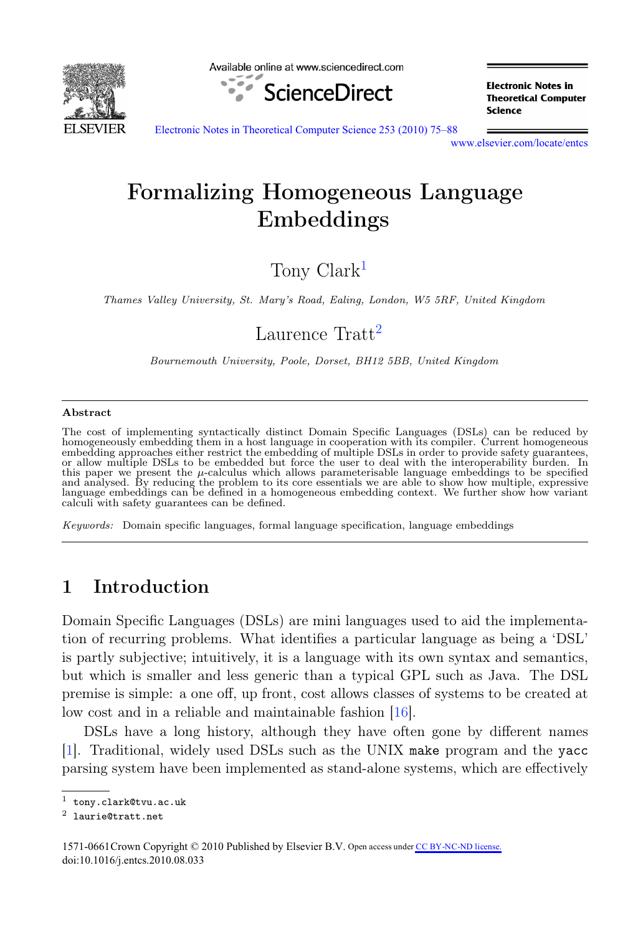

Available online at www.sciencedirect.com **ScienceDirect** ۰

**Electronic Notes in Theoretical Computer Science** 

Electronic Notes in Theoretical Computer Science 253 (2010) 75–88

www.elsevier.com/locate/entcs

# Formalizing Homogeneous Language Embeddings

Tony Clark<sup>1</sup>

*Thames Valley University, St. Mary's Road, Ealing, London, W5 5RF, United Kingdom*

# Laurence Tratt<sup>2</sup>

*Bournemouth University, Poole, Dorset, BH12 5BB, United Kingdom*

#### Abstract

The cost of implementing syntactically distinct Domain Specific Languages (DSLs) can be reduced by<br>homogeneously embedding them in a host language in cooperation with its compiler. Current homogeneous<br>embedding approaches this paper we present the  $\mu$ -calculus which allows parameterisable language embeddings to be specified and analysed. By reducing the problem to its core essentials we are able to show how multiple, expressive language embeddings can be defined in a homogeneous embedding context. We further show how variant calculi with safety guarantees can be defined.

*Keywords:* Domain specific languages, formal language specification, language embeddings

# [1](#page-12-0) Introduction

Domain Specific Languages (DSLs) are mini languages used to aid the implementation of recurring problems. What identifies a particular language as being a 'DSL' is partly subjective; intuitively, it is a language with its own syntax and semantics, but which is smaller and less generic than a typical GPL such as Java. The DSL premise is simple: a one off, up front, cost allows classes [of systems to](http://creativecommons.org/licenses/by-nc-nd/3.0/) be created at low cost and in a reliable and maintainable fashion [16].

DSLs have a long history, although they have often gone by different names [1]. Traditional, widely used DSLs such as the UNIX make program and the yacc parsing system have been implemented as stand-alone systems, which are effectively

 $^{\rm 1}$ tony.clark@tvu.ac.uk

 $^2$  laurie@tratt.net

<sup>1571-0661</sup>Crown Copyright © 2010 Published by Elsevier B.V. Open access under CC BY-NC-ND license.doi:10.1016/j.entcs.2010.08.033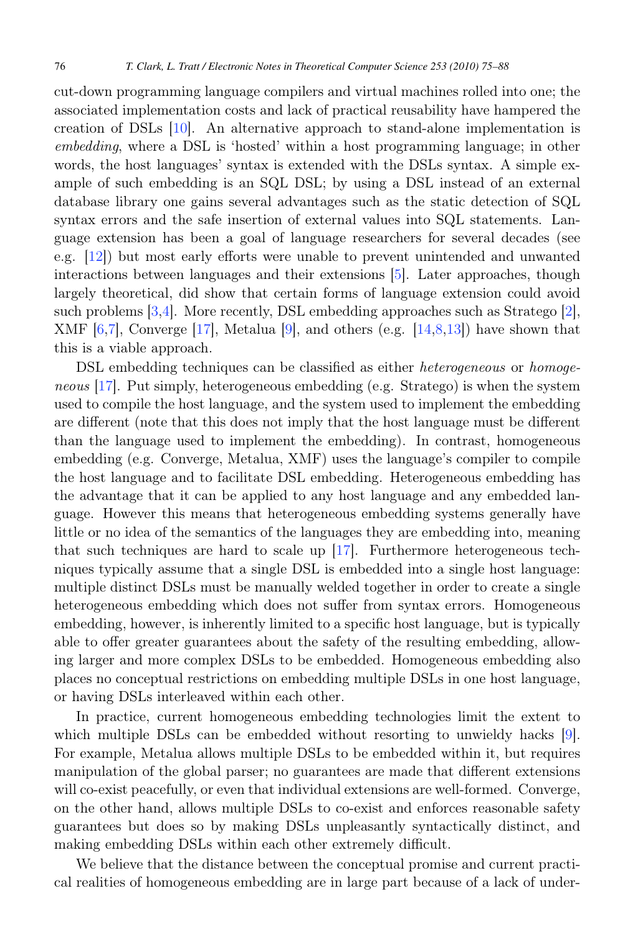cut-down programming language compilers and virtual machines rolled into one; the asso[ciate](#page-13-0)d implementation costs and lack of practical reusability have hampered the creation of DSLs [10]. An alternative approach to [sta](#page-13-0)nd-alone implementation is embedding, where a DSL is 'hosted' within a host programming language; in other words, the hos[t](#page-12-0) [lan](#page-12-0)guages' syntax is extended with the DSLs syntax. A simple [ex](#page-12-0)ample [of](#page-13-0) [s](#page-13-0)uch embed[ding](#page-13-0) is an SQ[L](#page-13-0) DSL; by using a [DSL](#page-13-0) [inst](#page-13-0)ead of an external database library one gains several advantages such as the static detection of SQL syntax errors and the safe insertion of external values into SQL statements. Language [ext](#page-13-0)ension has been a goal of language researchers for several decades (see e.g. [12]) but most early efforts were unable to prevent unintended and unwanted interactions between languages and their extensions [5]. Later approaches, though largely theoretical, did show that certain forms of language extension could avoid such problems [3,4]. More recently, DSL embedding approaches such as Stratego [2], XMF  $[6,7]$ , Converge  $[17]$ , Metalua  $[9]$ , and others (e.g.  $[14,8,13]$ ) have shown that this is a viable approach.

DSL embedding techniques can be classified as either *heterogeneous* or *homoge*neous  $[17]$ . Put simply, heterogeneous embedding (e.g. Stratego) is when the system used to compile the host language, and the s[yste](#page-13-0)m used to implement the embedding are different (note that this does not imply that the host language must be different than the language used to implement the embedding). In contrast, homogeneous embedding (e.g. Converge, Metalua, XMF) uses the language's compiler to compile the host language and to facilitate DSL embedding. Heterogeneous embedding has the advantage that it can be applied to any host language and any embedded language. However this means that heterogeneous embedding systems generally have little or no idea of the semantics of the languages they are embedding into, meaning that such techniques are hard to scale up [17]. Furthermore heterogeneous techniques typically assume that a single DSL is embedded into a single host language: multiple distinct DSLs must be manually welded together in order to create a sin[gle](#page-13-0) heterogeneous embedding which does not suffer from syntax errors. Homogeneous embedding, however, is inherently limited to a specific host language, but is typically able to offer greater guarantees about the safety of the resulting embedding, allowing larger and more complex DSLs to be embedded. Homogeneous embedding also places no conceptual restrictions on embedding multiple DSLs in one host language, or having DSLs interleaved within each other.

In practice, current homogeneous embedding technologies limit the extent to which multiple DSLs can be embedded without resorting to unwieldy hacks [9]. For example, Metalua allows multiple DSLs to be embedded within it, but requires manipulation of the global parser; no guarantees are made that different extensions will co-exist peacefully, or even that individual extensions are well-formed. Converge, on the other hand, allows multiple DSLs to co-exist and enforces reasonable safety guarantees but does so by making DSLs unpleasantly syntactically distinct, and making embedding DSLs within each other extremely difficult.

We believe that the distance between the conceptual promise and current practical realities of homogeneous embedding are in large part because of a lack of under-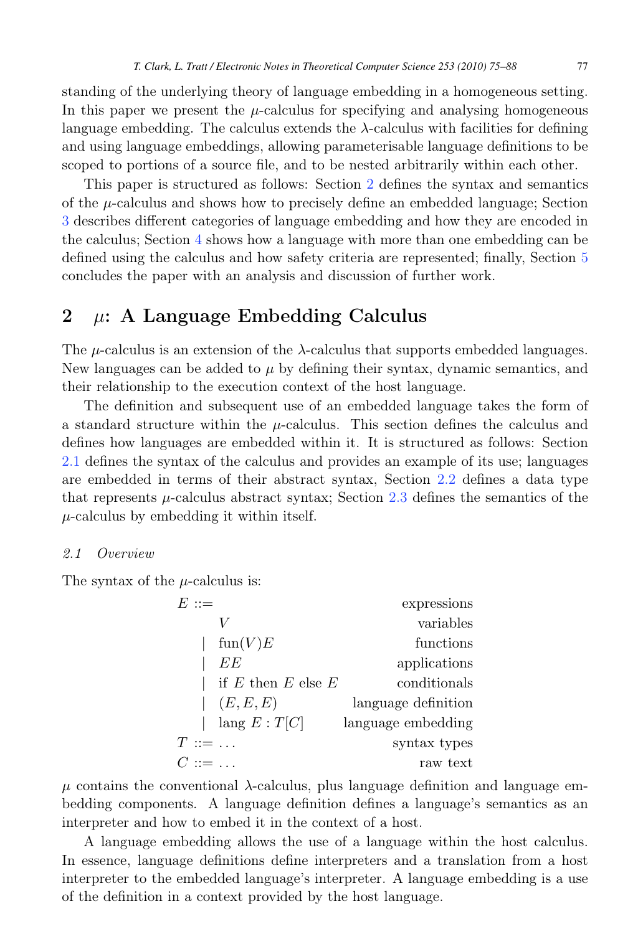standing of the unde[rly](#page-10-0)ing theory of language embedding in a homogeneous setting. In this paper we present the  $\mu$ -calcul[us](#page-12-0) for specifying and analysing homogeneous language embedding. The calculus extends the λ-calculus with facilities for defining and using language embeddings, allowing parameterisable language definitions to be scoped to portions of a source file, and to be nested arbitrarily within each other.

This paper is structured as follows: Section 2 defines the syntax and semantics of the  $\mu$ -calculus and shows how to precisely define an embedded language; Section 3 describes different categories of language embedding and how they are encoded in the calculus; Section 4 shows how a language with more than one embedding can be defined using the calculus and how safety criteria are represented; finally, Section 5 concludes the paper with an analysis and discussion of further work.

# 2  $\mu$ : A Language Embedding Calculus

The  $\mu$ -calculus is an extension of the  $\lambda$ -calculus tha[t su](#page-3-0)pports embedded languages. New languages can be added to  $\mu$  by defining their syntax, dynamic semantics, and their relationship to the execution context of the host language.

The definition and subsequent use of an embedded language takes the form of a standard structure within the  $\mu$ -calculus. This section defines the calculus and defines how languages are embedded within it. It is structured as follows: Section 2.1 defines the syntax of the calculus and provides an example of its use; languages are embedded in terms of their abstract syntax, Section 2.2 defines a data type that represents  $\mu$ -calculus abstract syntax; Section 2.3 defines the semantics of the  $\mu$ -calculus by embedding it within itself.

### 2.1 Overview

The syntax of the  $\mu$ -calculus is:

| $F \sim$       |                          | expressions         |
|----------------|--------------------------|---------------------|
|                |                          | variables           |
|                | fun(V)E                  | functions           |
|                | EЕ                       | applications        |
|                | if $E$ then $E$ else $E$ | conditionals        |
|                | (E, E, E)                | language definition |
|                | lang $E:T[C]$            | language embedding  |
| $T ::= \ldots$ |                          | syntax types        |
| $C ::= \dots$  |                          | raw text            |

 $\mu$  contains the conventional  $\lambda$ -calculus, plus language definition and language embedding components. A language definition defines a language's semantics as an interpreter and how to embed it in the context of a host.

A language embedding allows the use of a language within the host calculus. In essence, language definitions define interpreters and a translation from a host interpreter to the embedded language's interpreter. A language embedding is a use of the definition in a context provided by the host language.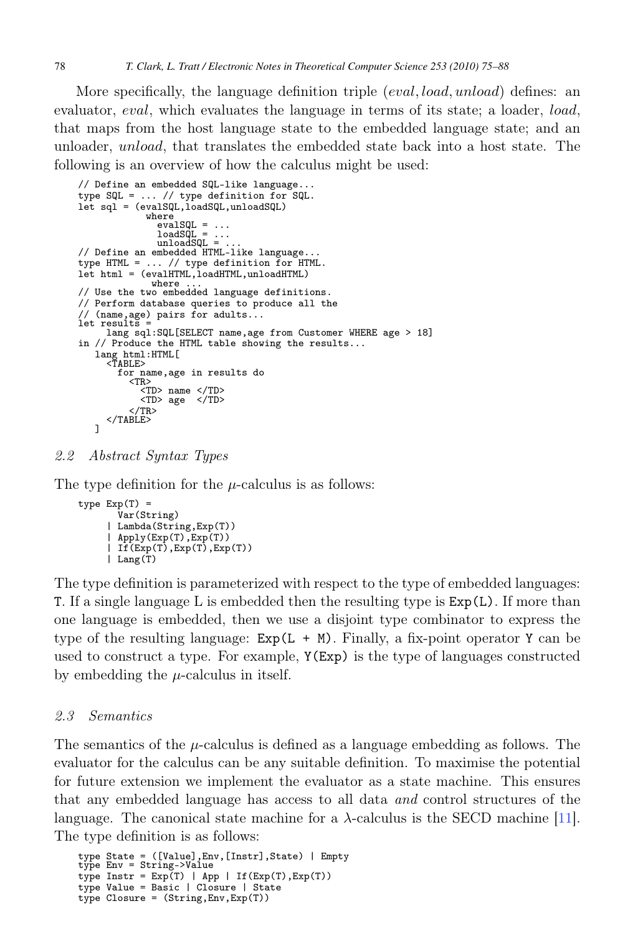<span id="page-3-0"></span>More specifically, the language definition triple (*eval, load, unload*) defines: an evaluator, eval, which evaluates the language in terms of its state; a loader, *load*, that maps from the host language state to the embedded language state; and an unloader, unload, that translates the embedded state back into a host state. The following is an overview of how the calculus might be used:

```
// Define an embedded SQL-like language...
type SQL = ... // type definition for SQL.
let sql = (evalSQL,loadSQL,unloadSQL)
             where
                evalSQL = ...
loadSQL = ...
unloadSQL = ...
// Define an embedded HTML-like language...
type HTML = ... // type definition for HTML.
let html = (evalHTML, loadHTML, unloadHTML)
where ...
// Use the two embedded language definitions.
// Perform database queries to produce all the
// (name,age) pairs for adults...
let results =
     lang sql:SQL[SELECT name,age from Customer WHERE age > 18]
in // Produce the HTML table showing the results...
   lang html:HTML[<br>
<TABLE>
        for name,age in results do
          <TR><TD> name </TD>
<TD> age </TD>
      </TR>
</TABLE>
   \overline{1}
```
### 2.2 Abstract Syntax Types

The type definition for the  $\mu$ -calculus is as follows:

```
type Exp(T) =
        .<br>Var(String)
     | Lambda(String,Exp(T))
       | Apply(Exp(T),Exp(T))
       If (Exp(T), Exp(T), Exp(T))Lang(T)
```
The type definition is parameterized with respect to the type of embedded languages: T. If a single language L is embedded then the resulting type is Exp(L). If more than one language is embedded, then we use a disjoint type combinator to express the type of the resulting language:  $Exp(L + M)$ . Finally, a fix-point operator Y can be used to construct a type. For example,  $Y(\text{Exp})$  is the type of languages constru[cted](#page-13-0) by embedding the  $\mu$ -calculus in itself.

### 2.3 Semantics

The semantics of the  $\mu$ -calculus is defined as a language embedding as follows. The evaluator for the calculus can be any suitable definition. To maximise the potential for future extension we implement the evaluator as a state machine. This ensures that any embedded language has access to all data and control structures of the language. The canonical state machine for a  $\lambda$ -calculus is the SECD machine [11]. The type definition is as follows:

```
type State = ([Value],Env,[Instr],State) | Empty
type Env = String->Value
type Instr = Exp(T) | App | If(Exp(T), Exp(T))
type Value = Basic | Closure | State
type Closure = (String,Env,Exp(T))
```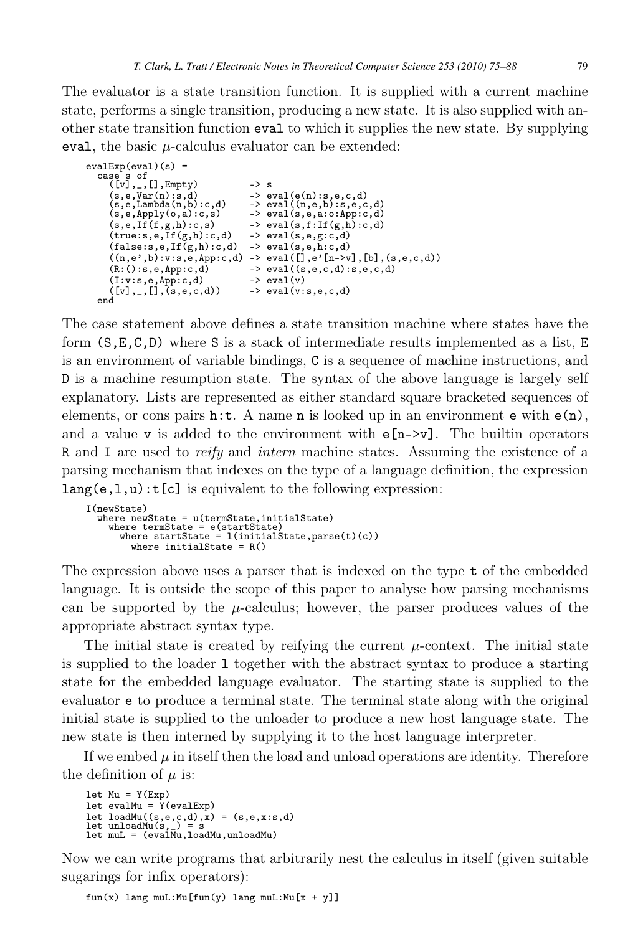The evaluator is a state transition function. It is supplied with a current machine state, performs a single transition, producing a new state. It is also supplied with another state transition function eval to which it supplies the new state. By supplying eval, the basic  $\mu$ -calculus evaluator can be extended:

```
evalExp(eval)(s) =case s of
([v],_,[],Empty) -> s
       (s,e,Var(n):s,d) -> eval(e(n):s,e,c,d)
(s,e,Lambda(n,b):c,d) -> eval((n,e,b):s,e,c,d)
       (s, e, \text{Lambda}(n, b):c, d) -> eval((n, e, b):s, e, c, d)<br>
(s, e, \text{Apply}(o, a):c, s) -> eval(s, e, a:o:\text{Appi}:c, d)<br>
(s, e, \text{If}(f, g, h):c, s) -> eval(s, f: \text{If}(g, h):c, d)
       (s, e, If(f, g, h):c, s) -> eval(s, f: If(g, h):c,d)(true:s,e,If(g,h):c,d) \longrightarrow eval(s,e,g:c,d)(false:s,e,If(g,h):c,d) -> eval(s,e,h:c,d)
       ((n,e',b):v:s,e,App:c,d) \rightarrow eval([],e'[n-v], [b], (s,e,c,d))<br>(R:():s,e,App:c,d) -> eval((s,e,c,d):s,e,c,d)
                                                  \rightarrow eval((s,e,c,d):s,e,c,d)<br>-> eval(v)
       (I: v:s,e, App:c,d) -> eval(v)<br>
([v]_{\cdot}, []_{\cdot}(s,e,c,d)) -> eval(v:s,e,c,d)
      ([v],_-,[], (s,e,c,d)end
```
The case statement above defines a state transition machine where states have the form (S,E,C,D) where S is a stack of intermediate results implemented as a list, E is an environment of variable bindings, C is a sequence of machine instructions, and D is a machine resumption state. The syntax of the above language is largely self explanatory. Lists are represented as either standard square bracketed sequences of elements, or cons pairs  $h:t$ . A name n is looked up in an environment  $e$  with  $e(n)$ , and a value v is added to the environment with  $\epsilon$ [n->v]. The builtin operators R and I are used to reify and intern machine states. Assuming the existence of a parsing mechanism that indexes on the type of a language definition, the expression  $lang(e,1,u):t[c]$  is equivalent to the following expression:

```
I(newState)
  where newState = u(termState,initialState)
where termState = e(startState)
       where startState = l(intialState, parse(t)(c))where initialState = R()
```
The expression above uses a parser that is indexed on the type t of the embedded language. It is outside the scope of this paper to analyse how parsing mechanisms can be supported by the  $\mu$ -calculus; however, the parser produces values of the appropriate abstract syntax type.

The initial state is created by reifying the current  $\mu$ -context. The initial state is supplied to the loader l together with the abstract syntax to produce a starting state for the embedded language evaluator. The starting state is supplied to the evaluator e to produce a terminal state. The terminal state along with the original initial state is supplied to the unloader to produce a new host language state. The new state is then interned by supplying it to the host language interpreter.

If we embed  $\mu$  in itself then the load and unload operations are identity. Therefore the definition of  $\mu$  is:

```
let Mu = Y(Exp)let evalMu = \dot{Y}(evalExp)
let loadMu((s,e,c,d),x) = (s,e,x:s,d)<br>let unloadMu(s,-) = slet unloadMu(s,_) = s
let muL = (evalMu,loadMu,unloadMu)
```
Now we can write programs that arbitrarily nest the calculus in itself (given suitable sugarings for infix operators):

```
fun(x) lang muL:Mu[fun(y) lang muL:Mu[x + y]]
```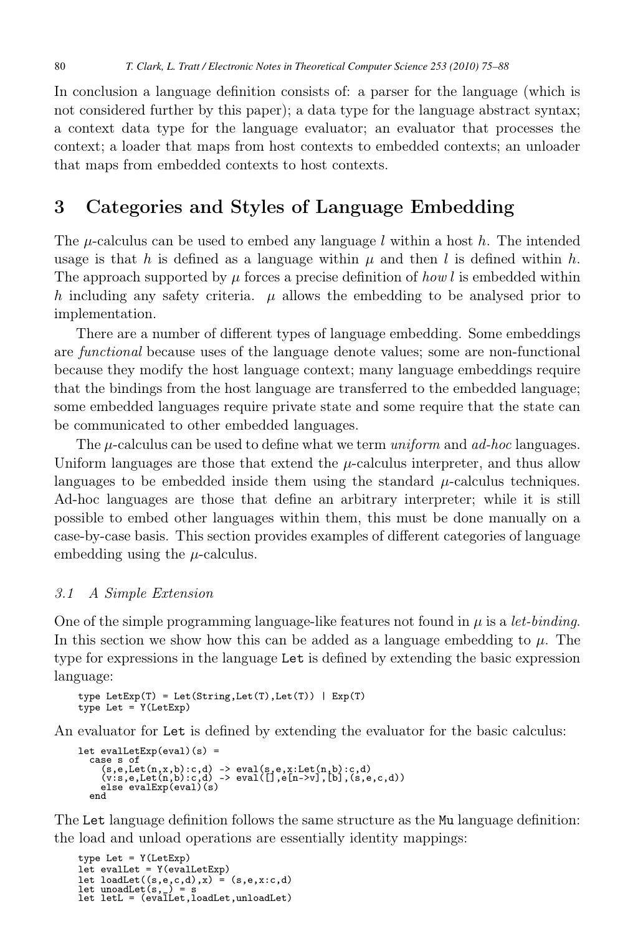In conclusion a language definition consists of: a parser for the language (which is not considered further by this paper); a data type for the language abstract syntax; a context data type for the language evaluator; an evaluator that processes the context; a loader that maps from host contexts to embedded contexts; an unloader that maps from embedded contexts to host contexts.

# 3 Categories and Styles of Language Embedding

The  $\mu$ -calculus can be used to embed any language l within a host h. The intended usage is that h is defined as a language within  $\mu$  and then l is defined within h. The approach supported by  $\mu$  forces a precise definition of how l is embedded within h including any safety criteria.  $\mu$  allows the embedding to be analysed prior to implementation.

There are a number of different types of language embedding. Some embeddings are functional because uses of the language denote values; some are non-functional because they modify the host language context; many language embeddings require that the bindings from the host language are transferred to the embedded language; some embedded languages require private state and some require that the state can be communicated to other embedded languages.

The  $\mu$ -calculus can be used to define what we term *uniform* and  $ad-hoc$  languages. Uniform languages are those that extend the  $\mu$ -calculus interpreter, and thus allow languages to be embedded inside them using the standard  $\mu$ -calculus techniques. Ad-hoc languages are those that define an arbitrary interpreter; while it is still possible to embed other languages within them, this must be done manually on a case-by-case basis. This section provides examples of different categories of language embedding using the  $\mu$ -calculus.

# 3.1 A Simple Extension

One of the simple programming language-like features not found in  $\mu$  is a *let-binding*. In this section we show how this can be added as a language embedding to  $\mu$ . The type for expressions in the language Let is defined by extending the basic expression language:

```
type LetExp(T) = Let(String, Let(T), Let(T)) | Exp(T)type Let = Y(LetExp)
```
An evaluator for Let is defined by extending the evaluator for the basic calculus:

```
let \; evalLetExp(eval)(s) =case s of
       (s,e,Let(n,x,b):c,d) -> eval(s,e,x:Let(n,b):c,d)
(v:s,e,Let(n,b):c,d) -> eval([],e[n->v],[b],(s,e,c,d))
else evalExp(eval)(s)
    end
```
The Let language definition follows the same structure as the Mu language definition: the load and unload operations are essentially identity mappings:

```
type Let = Y(LetExp)
let evalLet = Y(evalLetExp)
let loadLet(\nvert s, e, c, d), x = (s, e, x : c, d)let unoadLet(s,_) = s
let letL = (evalLet,loadLet,unloadLet)
```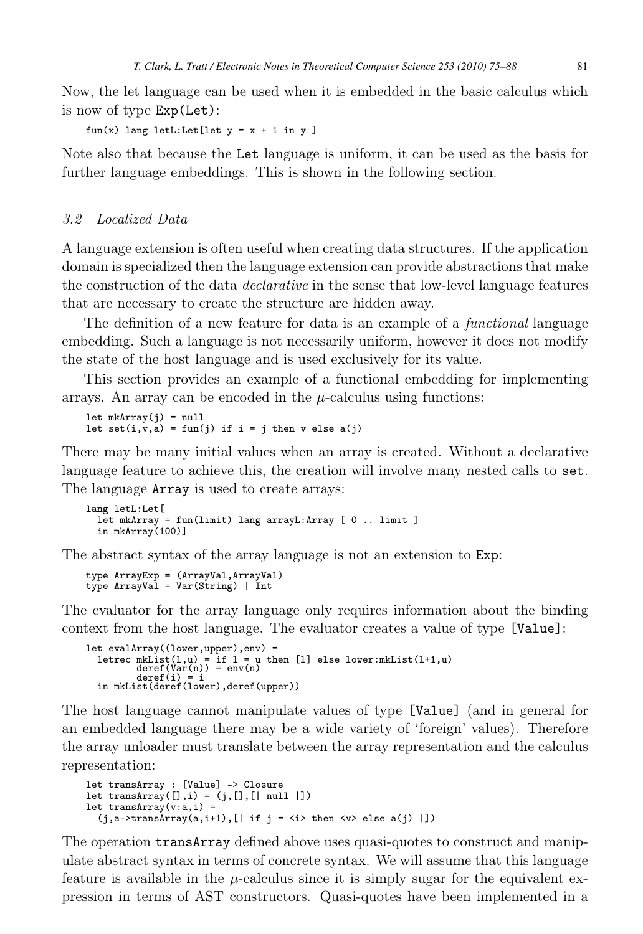Now, the let language can be used when it is embedded in the basic calculus which is now of type Exp(Let):

```
fun(x) lang letL:Let[let y = x + 1 in y]
```
Note also that because the Let language is uniform, it can be used as the basis for further language embeddings. This is shown in the following section.

### 3.2 Localized Data

A language extension is often useful when creating data structures. If the application domain is specialized then the language extension can provide abstractions that make the construction of the data *declarative* in the sense that low-level language features that are necessary to create the structure are hidden away.

The definition of a new feature for data is an example of a *functional* language embedding. Such a language is not necessarily uniform, however it does not modify the state of the host language and is used exclusively for its value.

This section provides an example of a functional embedding for implementing arrays. An array can be encoded in the  $\mu$ -calculus using functions:

```
let mkArray(j) = nulllet set(i,v,a) = fun(j) if i = j then v else a(j)
```
There may be many initial values when an array is created. Without a declarative language feature to achieve this, the creation will involve many nested calls to set. The language Array is used to create arrays:

```
lang letL:Let[
  let mkArray = fun(limit) lang arrayL:Array [ 0 .. limit ]
  in mkArray(100)]
```
The abstract syntax of the array language is not an extension to Exp:

```
type ArrayExp = (ArrayVal,ArrayVal)
type ArrayVal = Var(String) | Int
```
The evaluator for the array language only requires information about the binding context from the host language. The evaluator creates a value of type [Value]:

```
let evalArray((lower,upper),env) =
  letrec mkList(l,u) = ifl=u then [l] else lower:mkList(l+1,u)
deref(Var(n)) = env(n)
  deref(i) = i
in mkList(deref(lower),deref(upper))
```
The host language cannot manipulate values of type [Value] (and in general for an embedded language there may be a wide variety of 'foreign' values). Therefore the array unloader must translate between the array representation and the calculus representation:

```
let transArray : [Value] -> Closure
let transArray([],i) = (j, [],[] null [])
let transArray(v:a,i) =
  (j, a-)transArray(a,i+1),[| if j = \langle i \rangle then \langle v \rangle else a(j) |])
```
The operation transArray defined above uses quasi-quotes to construct and manipulate abstract syntax in terms of concrete syntax. We will assume that this language feature is available in the  $\mu$ -calculus since it is simply sugar for the equivalent expression in terms of AST constructors. Quasi-quotes have been implemented in a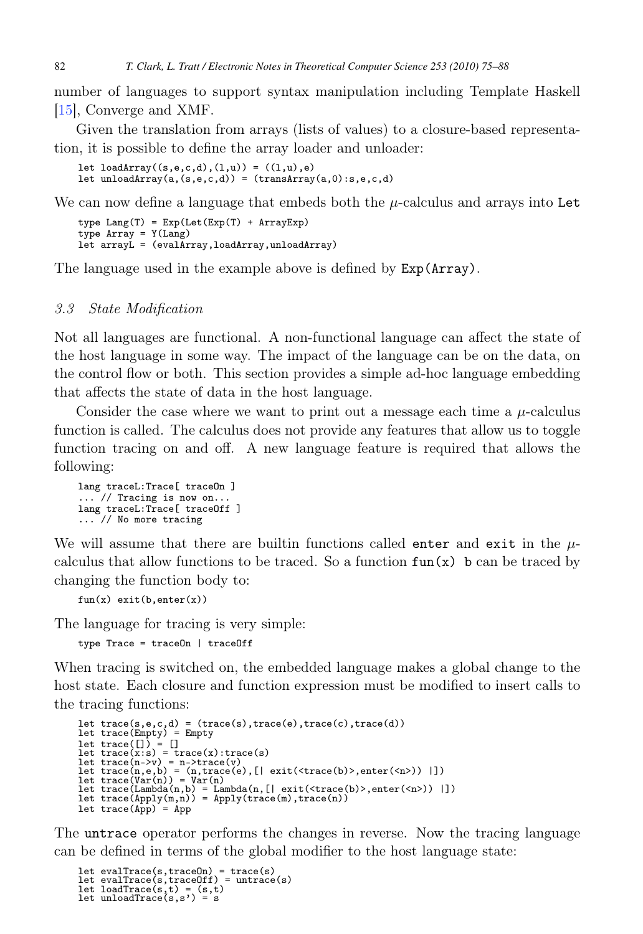number of languages to support syntax manipulation including Template Haskell [15], Converge and XMF.

Given the translation from arrays (lists of values) to a closure-based representation, it is possible to define the array loader and unloader:

let  $loadArray((s,e,c,d),(1,u)) = ((1,u),e)$ let unloadArray(a,(s,e,c,d)) = (transArray(a,0):s,e,c,d)

We can now define a language that embeds both the  $\mu$ -calculus and arrays into Let

```
type Lang(T) = Exp(Let (Exp(T) + ArrayExp)type Array = Y(Lang)
let arrayL = (evalArray,loadArray,unloadArray)
```
The language used in the example above is defined by Exp(Array).

#### 3.3 State Modification

Not all languages are functional. A non-functional language can affect the state of the host language in some way. The impact of the language can be on the data, on the control flow or both. This section provides a simple ad-hoc language embedding that affects the state of data in the host language.

Consider the case where we want to print out a message each time a  $\mu$ -calculus function is called. The calculus does not provide any features that allow us to toggle function tracing on and off. A new language feature is required that allows the following:

```
lang traceL:Trace[ traceOn ]
 \ldots // Tracing is now on.
lang traceL:Trace[ traceOff ]
... // No more tracing
```
We will assume that there are builtin functions called enter and exit in the  $\mu$ calculus that allow functions to be traced. So a function  $fun(x)$  b can be traced by changing the function body to:

 $fun(x)$  exit(b, enter(x))

The language for tracing is very simple:

```
type Trace = traceOn | traceOff
```
When tracing is switched on, the embedded language makes a global change to the host state. Each closure and function expression must be modified to insert calls to the tracing functions:

```
let trace(s,e,c,d) = (trace(s),trace(e),trace(c),trace(d))
let trace(Empty) = Empty
let trace([]) = []<br>let trace(x:s) = trace(x):trace(s)<br>let trace(n->v) = n->trace(v)<br>let trace(n,e,b) = (n,trace(e),[| exit(<trace(b)>,enter(<n>)) |])<br>let trace(Var(n)) = Var(n)<br>let trace(Lambda(n,b) = Lambda(n,[| exit(<tra
let trace(App) = App
```
The untrace operator performs the changes in reverse. Now the tracing language can be defined in terms of the global modifier to the host language state:

```
let evalTrace(s,traceOn) = trace(s)
let evalTrace(s,traceOff) = untrace(s)
let loadTrace(s,t) = (s,t)
let unloadTrace(s,s') = s
```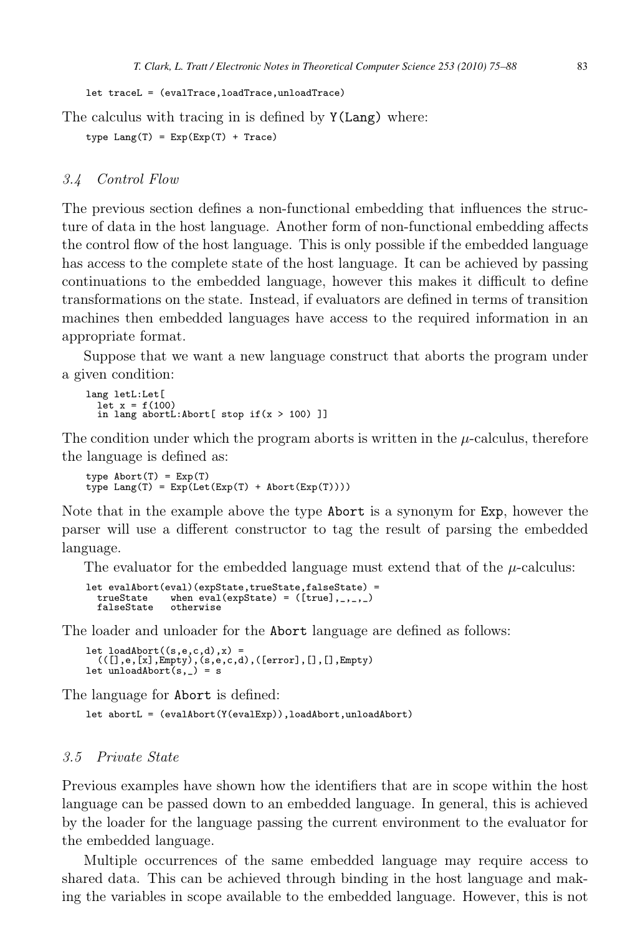```
let traceL = (evalTrace,loadTrace,unloadTrace)
```
The calculus with tracing in is defined by  $Y(Lang)$  where:

```
type Lang(T) = Exp(Exp(T) + Trace)
```
### 3.4 Control Flow

The previous section defines a non-functional embedding that influences the structure of data in the host language. Another form of non-functional embedding affects the control flow of the host language. This is only possible if the embedded language has access to the complete state of the host language. It can be achieved by passing continuations to the embedded language, however this makes it difficult to define transformations on the state. Instead, if evaluators are defined in terms of transition machines then embedded languages have access to the required information in an appropriate format.

Suppose that we want a new language construct that aborts the program under a given condition:

```
lang letL:Let[
  let x = f(100)in lang abortL:Abort[ stop if(x > 100) ]]
```
The condition under which the program aborts is written in the  $\mu$ -calculus, therefore the language is defined as:

```
type \text{Abort}(T) = \text{Exp}(T)type \text{Lang}(T) = \text{Exp}(\text{Let}(\text{Exp}(T) + \text{Abort}(\text{Exp}(T))))
```
Note that in the example above the type Abort is a synonym for Exp, however the parser will use a different constructor to tag the result of parsing the embedded language.

The evaluator for the embedded language must extend that of the  $\mu$ -calculus:

```
let evalAbort(eval)(expState,trueState,falseState) =<br>trueState when eval(expState) = ([true],,,)
                        when eval(expState) = ([true], _, _, _)<br>otherwise
   falseState
```
The loader and unloader for the Abort language are defined as follows:

```
let loadAbort((s,e,c,d),x) =
(([],e,[x],Empty),(s,e,c,d),([error],[],[],Empty)
let unloadAbort(s,_) = s
```
The language for Abort is defined:

let abortL = (evalAbort(Y(evalExp)),loadAbort,unloadAbort)

# 3.5 Private State

Previous examples have shown how the identifiers that are in scope within the host language can be passed down to an embedded language. In general, this is achieved by the loader for the language passing the current environment to the evaluator for the embedded language.

Multiple occurrences of the same embedded language may require access to shared data. This can be achieved through binding in the host language and making the variables in scope available to the embedded language. However, this is not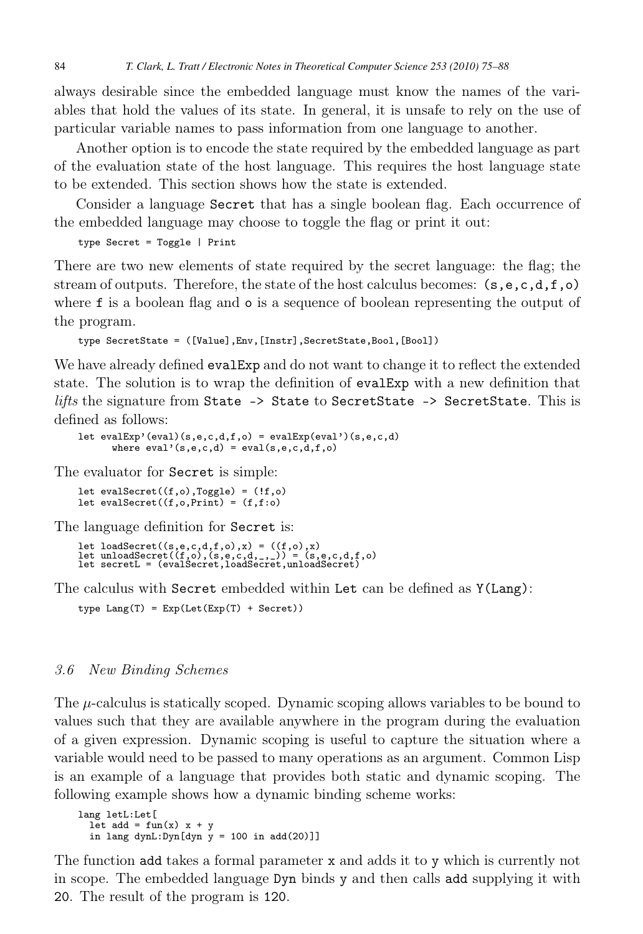always desirable since the embedded language must know the names of the variables that hold the values of its state. In general, it is unsafe to rely on the use of particular variable names to pass information from one language to another.

Another option is to encode the state required by the embedded language as part of the evaluation state of the host language. This requires the host language state to be extended. This section shows how the state is extended.

Consider a language Secret that has a single boolean flag. Each occurrence of the embedded language may choose to toggle the flag or print it out:

```
type Secret = Toggle | Print
```
There are two new elements of state required by the secret language: the flag; the stream of outputs. Therefore, the state of the host calculus becomes:  $(s, e, c, d, f, o)$ where **f** is a boolean flag and **o** is a sequence of boolean representing the output of the program.

```
type SecretState = ([Value],Env,[Instr],SecretState,Bool,[Bool])
```
We have already defined **evalExp** and do not want to change it to reflect the extended state. The solution is to wrap the definition of evalExp with a new definition that lifts the signature from State -> State to SecretState -> SecretState. This is defined as follows:

```
let evalExp'(eval)(s,e,c,d,f,o) = evalExp(eval')(s,e,c,d)
      where eval'(s,e,c,d) = eval(s,e,c,d,f,o)
```
The evaluator for Secret is simple:

```
let evalSecret((f,o),Toggle) = (!f,o)let evalSecret((f, o, Print) = (f, f: o)
```
The language definition for Secret is:

```
let loadSecret((s,e,c,d,f,o),x) = ((f,o),x)<br>let unloadSecret((f,o),(s,e,c,d,_,_)) = (s,e,c,d,f,o)<br>let secretL = (evalSecret,loadSecret,unloadSecret)
```
The calculus with Secret embedded within Let can be defined as Y(Lang):

```
type Lang(T) = Exp(Let(Exp(T) + Secret))
```
# 3.6 New Binding Schemes

The  $\mu$ -calculus is statically scoped. Dynamic scoping allows variables to be bound to values such that they are available anywhere in the program during the evaluation of a given expression. Dynamic scoping is useful to capture the situation where a variable would need to be passed to many operations as an argument. Common Lisp is an example of a language that provides both static and dynamic scoping. The following example shows how a dynamic binding scheme works:

```
lang letL:Let[
  let add = fun(x) x + y
  in lang dynL:Dyn[dyn y = 100 in add(20)]]
```
The function add takes a formal parameter x and adds it to y which is currently not in scope. The embedded language Dyn binds y and then calls add supplying it with 20. The result of the program is 120.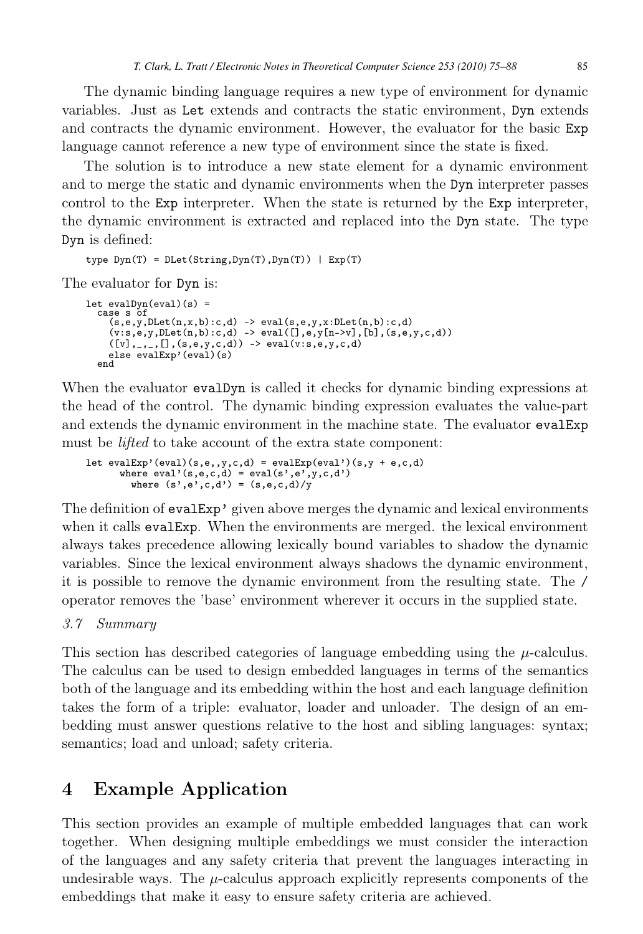<span id="page-10-0"></span>The dynamic binding language requires a new type of environment for dynamic variables. Just as Let extends and contracts the static environment, Dyn extends and contracts the dynamic environment. However, the evaluator for the basic Exp language cannot reference a new type of environment since the state is fixed.

The solution is to introduce a new state element for a dynamic environment and to merge the static and dynamic environments when the Dyn interpreter passes control to the Exp interpreter. When the state is returned by the Exp interpreter, the dynamic environment is extracted and replaced into the Dyn state. The type Dyn is defined:

```
type Dyn(T) = DLet(String,Dyn(T),Dyn(T)) | Exp(T)
```
The evaluator for Dyn is:

```
let evalDvn(eval)(s) =case s of
     (s, e, y, \text{DLet}(n, x, b):c, d) \rightarrow \text{eval}(s, e, y, x: \text{DLet}(n, b):c, d)(v:s,e,y,DLet(n,b):c,d) \rightarrow eval([],e,y[n->v],[b],(s,e,y,c,d))([v], ..., [], (s, e, y, c, d)) \rightarrow \text{eval}(v: s, e, y, c, d)else evalExp'(eval)(s)
  end
```
When the evaluator evalDyn is called it checks for dynamic binding expressions at the head of the control. The dynamic binding expression evaluates the value-part and extends the dynamic environment in the machine state. The evaluator evalExp must be *lifted* to take account of the extra state component:

let evalExp'(eval)(s,e,,y,c,d) = evalExp(eval')(s,y + e,c,d) where  $eval'(s,e,c,d) = eval(s',e',y,c,d')$ where  $(s', e', c, d') = (s, e, c, d) / y$ 

The definition of evalExp' given above merges the dynamic and lexical environments when it calls evalExp. When the environments are merged. the lexical environment always takes precedence allowing lexically bound variables to shadow the dynamic variables. Since the lexical environment always shadows the dynamic environment, it is possible to remove the dynamic environment from the resulting state. The / operator removes the 'base' environment wherever it occurs in the supplied state.

3.7 Summary

This section has described categories of language embedding using the  $\mu$ -calculus. The calculus can be used to design embedded languages in terms of the semantics both of the language and its embedding within the host and each language definition takes the form of a triple: evaluator, loader and unloader. The design of an embedding must answer questions relative to the host and sibling languages: syntax; semantics; load and unload; safety criteria.

# 4 Example Application

This section provides an example of multiple embedded languages that can work together. When designing multiple embeddings we must consider the interaction of the languages and any safety criteria that prevent the languages interacting in undesirable ways. The  $\mu$ -calculus approach explicitly represents components of the embeddings that make it easy to ensure safety criteria are achieved.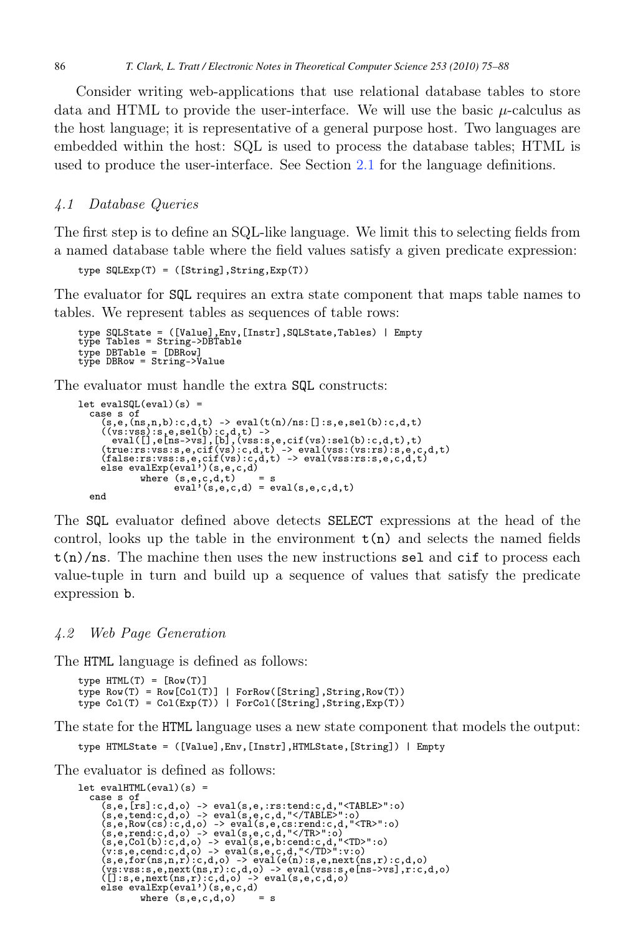Consider writing web-applications that use relational database tables to store data and HTML to provide the user-interface. We will use the basic  $\mu$ -calculus as the host language; it is representative of a general purpose host. Two languages are embedded within the host: SQL is used to process the database tables; HTML is used to produce the user-interface. See Section 2.1 for the language definitions.

#### 4.1 Database Queries

The first step is to define an SQL-like language. We limit this to selecting fields from a named database table where the field values satisfy a given predicate expression:

type SQLExp(T) = ([String],String,Exp(T))

The evaluator for SQL requires an extra state component that maps table names to tables. We represent tables as sequences of table rows:

```
type SQLState = ([Value],Env,[Instr],SQLState,Tables) | Empty
type Tables = String->DBTable
type DBTable = [DBRow]
type DBRow = String->Value
```
The evaluator must handle the extra SQL constructs:

```
let evalSQL(eval)(s) =case s of<br>
(s,e,(ns,n,b):c,d,t) -> eval(t(n)/ns:[]:s,e,sel(b):c,d,t)<br>
((vs:vss):s,e,sel(b):c,d,t) -><br>
eval([],e[ns->vs],[b],(vss:s,e,cif(vs):sel(b):c,d,t),t)<br>
(true:rs:vss:s,e,cif(vs):c,d,t) -> eval(vss:(vs:rs):s,e,c,d,t)
                            where (s, e, c, d, t) = s<br>eval'(s, e, c, d) = eval(s, e, c, d, t)
     end
```
The SQL evaluator defined above detects SELECT expressions at the head of the control, looks up the table in the environment  $t(n)$  and selects the named fields  $t(n)/ns$ . The machine then uses the new instructions sel and cif to process each value-tuple in turn and build up a sequence of values that satisfy the predicate expression b.

### 4.2 Web Page Generation

The HTML language is defined as follows:

```
type HTML(T) = [Row(T)]type Row(T) = Row[Col(T)] | ForRow([String],String,Row(T))
type Col(T) = Col(Exp(T)) | ForCol([String],String,Exp(T))
```
The state for the HTML language uses a new state component that models the output:

type HTMLState = ([Value],Env,[Instr],HTMLState,[String]) | Empty

The evaluator is defined as follows:

```
let \text{ evalHTML}(\text{eval})(s) = \text{case} \text{ s of}case s of (s, e, rs; i, d, o) -> eval(s,e,:rs:tend:c,d,"<TABLE>":o)<br>
(s, e, rs; i, d, o) -> eval(s,e,c,d,"</TABLE>":o)<br>
(s, e, k, o, d, o) -> eval(s,e,c,d,"</TABLE>":o)<br>
(s, e, k, o, c, d, o) -> eval(s,e,c,s:rend:c,d,"<TR>":o)<br>
(s, e, r, e, c, dwhere (s, e, c, d, o) = s
```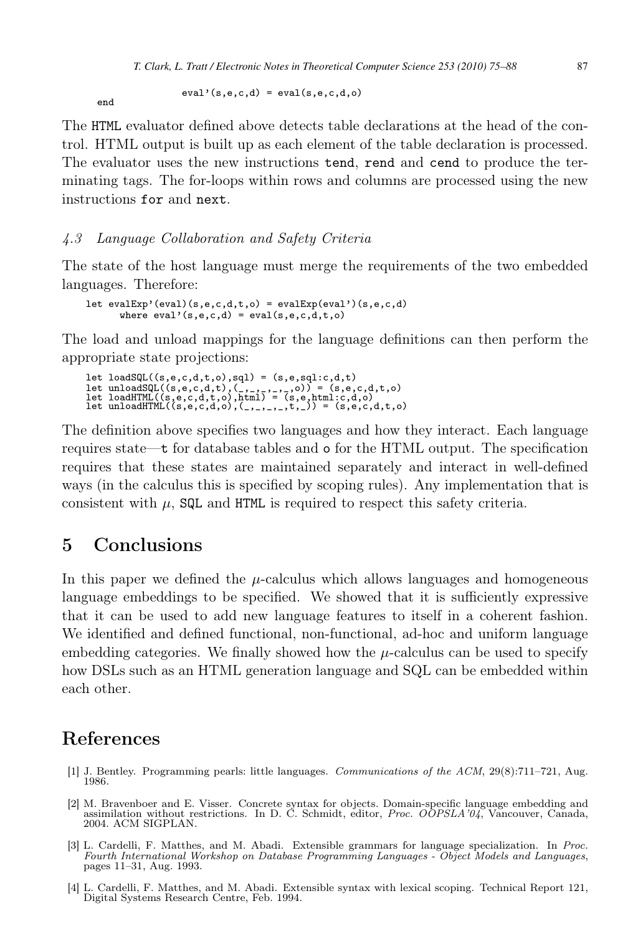$eval'(s,e,c,d) = eval(s,e,c,d,o)$ 

<span id="page-12-0"></span>The HTML evaluator defined above detects table declarations at the head of the control. HTML output is built up as each element of the table declaration is processed. The evaluator uses the new instructions tend, rend and cend to produce the terminating tags. The for-loops within rows and columns are processed using the new instructions for and next.

### 4.3 Language Collaboration and Safety Criteria

The state of the host language must merge the requirements of the two embedded languages. Therefore:

```
let evalExp'(eval)(s,e,c,d,t,o) = evalExp(eval')(s,e,c,d)
      where eval'(s,e,c,d) = eval(s,e,c,d,t,o)
```
The load and unload mappings for the language definitions can then perform the appropriate state projections:

```
let loadSQL((s,e,c,d,t,o),sql) = (s,e,sql:c,d,t)let unloadSQL((s,e,c,d,t),(_,_,,_,_,,o)) = (s,e,c,d,t,o)<br>let loadHTML((s,e,c,d,t,o),html) = (s,e,html:c,d,o)<br>let unloadHTML((s,e,c,d,o),(_,_,_,_,t,_)) = (s,e,c,d,t,o)
```
The definition above specifies two languages and how they interact. Each language requires state—t for database tables and o for the HTML output. The specification requires that these states are maintained separately and interact in well-defined ways (in the calculus this is specified by scoping rules). Any implementation that is consistent with  $\mu$ , SQL and HTML is required to respect this safety criteria.

# 5 Conclusions

end

In this paper we defined the  $\mu$ -calculus which allows languages and homogeneous language embeddings to be specified. We showed that it is sufficiently expressive that it can be used to add new language features to itself in a coherent fashion. We identified and defined functional, non-functional, ad-hoc and uniform language embedding categories. We finally showed how the  $\mu$ -calculus can be used to specify how DSLs such as an HTML generation language and SQL can be embedded within each other.

# References

- [1] J. Bentley. Programming pearls: little languages. *Communications of the ACM*, 29(8):711–721, Aug. 1986.
- [2] M. Bravenboer and E. Visser. Concrete syntax for objects. Domain-specific language embedding and assimilation without restrictions. In D. C. Schmidt, editor, *Proc. OOPSLA'04*, Vancouver, Canada, 2004. ACM SIGPLAN.
- [3] L. Cardelli, F. Matthes, and M. Abadi. Extensible grammars for language specialization. In *Proc. Fourth International Workshop on Database Programming Languages - Object Models and Languages*, pages 11–31, Aug. 1993.
- [4] L. Cardelli, F. Matthes, and M. Abadi. Extensible syntax with lexical scoping. Technical Report 121, Digital Systems Research Centre, Feb. 1994.